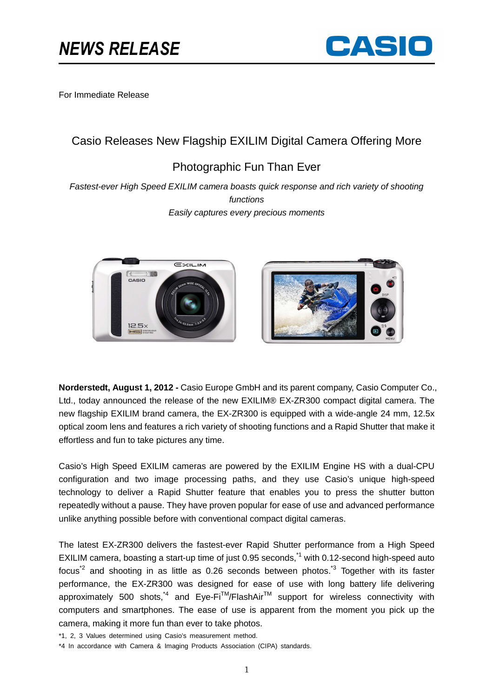

For Immediate Release

# Casio Releases New Flagship EXILIM Digital Camera Offering More

# Photographic Fun Than Ever

Fastest-ever High Speed EXILIM camera boasts quick response and rich variety of shooting functions Easily captures every precious moments





**Norderstedt, August 1, 2012 -** Casio Europe GmbH and its parent company, Casio Computer Co., Ltd., today announced the release of the new EXILIM® EX-ZR300 compact digital camera. The new flagship EXILIM brand camera, the EX-ZR300 is equipped with a wide-angle 24 mm, 12.5x optical zoom lens and features a rich variety of shooting functions and a Rapid Shutter that make it effortless and fun to take pictures any time.

Casio's High Speed EXILIM cameras are powered by the EXILIM Engine HS with a dual-CPU configuration and two image processing paths, and they use Casio's unique high-speed technology to deliver a Rapid Shutter feature that enables you to press the shutter button repeatedly without a pause. They have proven popular for ease of use and advanced performance unlike anything possible before with conventional compact digital cameras.

The latest EX-ZR300 delivers the fastest-ever Rapid Shutter performance from a High Speed EXILIM camera, boasting a start-up time of just 0.95 seconds,<sup> $1$ </sup> with 0.12-second high-speed auto focus<sup> $2$ </sup> and shooting in as little as 0.26 seconds between photos.<sup> $3$ </sup> Together with its faster performance, the EX-ZR300 was designed for ease of use with long battery life delivering approximately 500 shots,<sup>\*4</sup> and Eye-Fi<sup>TM</sup>/FlashAir<sup>TM</sup> support for wireless connectivity with computers and smartphones. The ease of use is apparent from the moment you pick up the camera, making it more fun than ever to take photos.

\*1, 2, 3 Values determined using Casio's measurement method.

<sup>\*4</sup> In accordance with Camera & Imaging Products Association (CIPA) standards.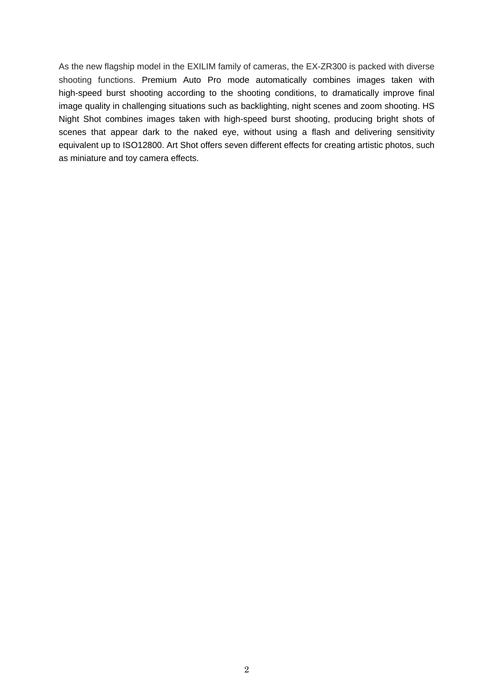As the new flagship model in the EXILIM family of cameras, the EX-ZR300 is packed with diverse shooting functions. Premium Auto Pro mode automatically combines images taken with high-speed burst shooting according to the shooting conditions, to dramatically improve final image quality in challenging situations such as backlighting, night scenes and zoom shooting. HS Night Shot combines images taken with high-speed burst shooting, producing bright shots of scenes that appear dark to the naked eye, without using a flash and delivering sensitivity equivalent up to ISO12800. Art Shot offers seven different effects for creating artistic photos, such as miniature and toy camera effects.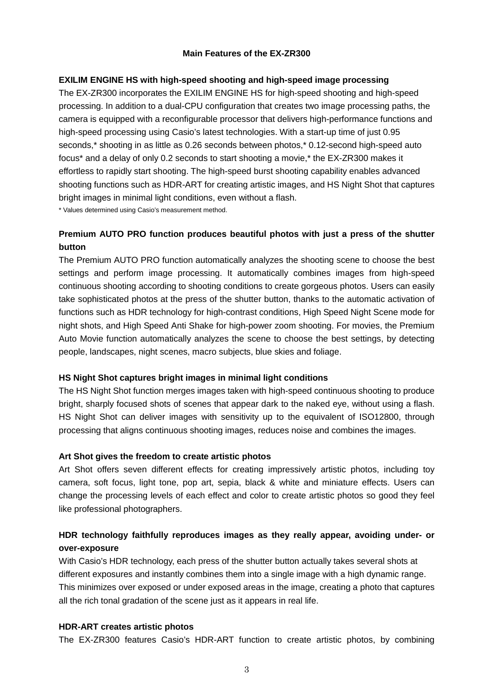#### **Main Features of the EX-ZR300**

### **EXILIM ENGINE HS with high-speed shooting and high-speed image processing**

The EX-ZR300 incorporates the EXILIM ENGINE HS for high-speed shooting and high-speed processing. In addition to a dual-CPU configuration that creates two image processing paths, the camera is equipped with a reconfigurable processor that delivers high-performance functions and high-speed processing using Casio's latest technologies. With a start-up time of just 0.95 seconds,\* shooting in as little as 0.26 seconds between photos,\* 0.12-second high-speed auto focus\* and a delay of only 0.2 seconds to start shooting a movie,\* the EX-ZR300 makes it effortless to rapidly start shooting. The high-speed burst shooting capability enables advanced shooting functions such as HDR-ART for creating artistic images, and HS Night Shot that captures bright images in minimal light conditions, even without a flash.

\* Values determined using Casio's measurement method.

# **Premium AUTO PRO function produces beautiful photos with just a press of the shutter button**

The Premium AUTO PRO function automatically analyzes the shooting scene to choose the best settings and perform image processing. It automatically combines images from high-speed continuous shooting according to shooting conditions to create gorgeous photos. Users can easily take sophisticated photos at the press of the shutter button, thanks to the automatic activation of functions such as HDR technology for high-contrast conditions, High Speed Night Scene mode for night shots, and High Speed Anti Shake for high-power zoom shooting. For movies, the Premium Auto Movie function automatically analyzes the scene to choose the best settings, by detecting people, landscapes, night scenes, macro subjects, blue skies and foliage.

#### **HS Night Shot captures bright images in minimal light conditions**

The HS Night Shot function merges images taken with high-speed continuous shooting to produce bright, sharply focused shots of scenes that appear dark to the naked eye, without using a flash. HS Night Shot can deliver images with sensitivity up to the equivalent of ISO12800, through processing that aligns continuous shooting images, reduces noise and combines the images.

### **Art Shot gives the freedom to create artistic photos**

Art Shot offers seven different effects for creating impressively artistic photos, including toy camera, soft focus, light tone, pop art, sepia, black & white and miniature effects. Users can change the processing levels of each effect and color to create artistic photos so good they feel like professional photographers.

# **HDR technology faithfully reproduces images as they really appear, avoiding under- or over-exposure**

With Casio's HDR technology, each press of the shutter button actually takes several shots at different exposures and instantly combines them into a single image with a high dynamic range. This minimizes over exposed or under exposed areas in the image, creating a photo that captures all the rich tonal gradation of the scene just as it appears in real life.

#### **HDR-ART creates artistic photos**

The EX-ZR300 features Casio's HDR-ART function to create artistic photos, by combining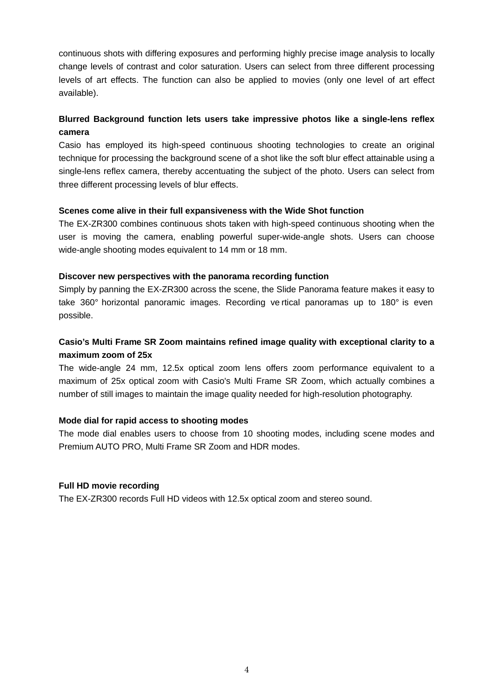continuous shots with differing exposures and performing highly precise image analysis to locally change levels of contrast and color saturation. Users can select from three different processing levels of art effects. The function can also be applied to movies (only one level of art effect available).

# **Blurred Background function lets users take impressive photos like a single-lens reflex camera**

Casio has employed its high-speed continuous shooting technologies to create an original technique for processing the background scene of a shot like the soft blur effect attainable using a single-lens reflex camera, thereby accentuating the subject of the photo. Users can select from three different processing levels of blur effects.

### **Scenes come alive in their full expansiveness with the Wide Shot function**

The EX-ZR300 combines continuous shots taken with high-speed continuous shooting when the user is moving the camera, enabling powerful super-wide-angle shots. Users can choose wide-angle shooting modes equivalent to 14 mm or 18 mm.

#### **Discover new perspectives with the panorama recording function**

Simply by panning the EX-ZR300 across the scene, the Slide Panorama feature makes it easy to take 360° horizontal panoramic images. Recording ve rtical panoramas up to 180° is even possible.

# **Casio's Multi Frame SR Zoom maintains refined image quality with exceptional clarity to a maximum zoom of 25x**

The wide-angle 24 mm, 12.5x optical zoom lens offers zoom performance equivalent to a maximum of 25x optical zoom with Casio's Multi Frame SR Zoom, which actually combines a number of still images to maintain the image quality needed for high-resolution photography.

### **Mode dial for rapid access to shooting modes**

The mode dial enables users to choose from 10 shooting modes, including scene modes and Premium AUTO PRO, Multi Frame SR Zoom and HDR modes.

### **Full HD movie recording**

The EX-ZR300 records Full HD videos with 12.5x optical zoom and stereo sound.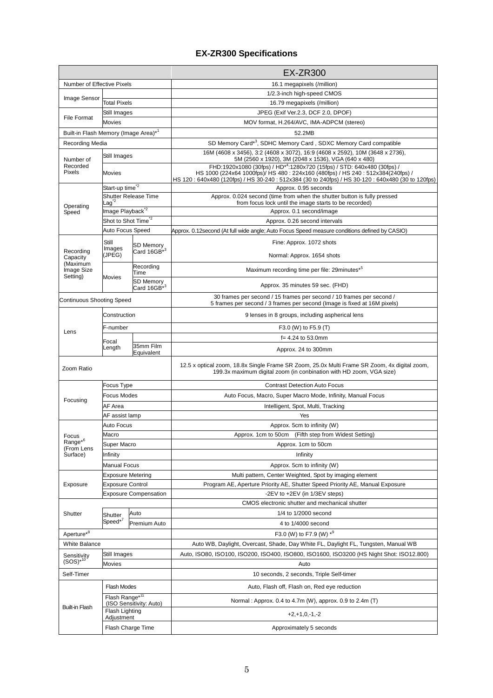# **EX-ZR300 Specifications**

|                                      |                                                               |                                      | <b>EX-ZR300</b>                                                                                                                                                                                                                                                             |
|--------------------------------------|---------------------------------------------------------------|--------------------------------------|-----------------------------------------------------------------------------------------------------------------------------------------------------------------------------------------------------------------------------------------------------------------------------|
| Number of Effective Pixels           |                                                               |                                      | 16.1 megapixels (/million)                                                                                                                                                                                                                                                  |
| Image Sensor                         |                                                               |                                      | 1/2.3-inch high-speed CMOS                                                                                                                                                                                                                                                  |
|                                      | <b>Total Pixels</b>                                           |                                      | 16.79 megapixels (/million)                                                                                                                                                                                                                                                 |
| <b>File Format</b>                   | Still Images                                                  |                                      | JPEG (Exif Ver.2.3, DCF 2.0, DPOF)                                                                                                                                                                                                                                          |
|                                      | Movies                                                        |                                      | MOV format, H.264/AVC, IMA-ADPCM (stereo)                                                                                                                                                                                                                                   |
| Built-in Flash Memory (Image Area)*1 |                                                               |                                      | 52.2MB                                                                                                                                                                                                                                                                      |
| Recording Media                      |                                                               |                                      | SD Memory Card*3, SDHC Memory Card, SDXC Memory Card compatible                                                                                                                                                                                                             |
| Number of<br>Recorded<br>Pixels      | Still Images                                                  |                                      | 16M (4608 x 3456), 3:2 (4608 x 3072), 16:9 (4608 x 2592), 10M (3648 x 2736),<br>5M (2560 x 1920), 3M (2048 x 1536), VGA (640 x 480)                                                                                                                                         |
|                                      | Movies                                                        |                                      | FHD:1920x1080 (30fps) / HD <sup>*4</sup> :1280x720 (15fps) / STD: 640x480 (30fps) /<br>HS 1000 (224x64 1000fps)/ HS 480 : 224x160 (480fps) / HS 240 : 512x384(240fps) /<br>HS 120: 640x480 (120fps) / HS 30-240: 512x384 (30 to 240fps) / HS 30-120: 640x480 (30 to 120fps) |
| Operating                            | Start-up time <sup>*2</sup>                                   |                                      | Approx. 0.95 seconds                                                                                                                                                                                                                                                        |
|                                      | Shutter Release Time<br>$\mathsf{L}$ aq $\mathsf{\hat{\,}}^2$ |                                      | Approx. 0.024 second (time from when the shutter button is fully pressed<br>from focus lock until the image starts to be recorded)                                                                                                                                          |
| Speed                                | Image Playback <sup>*2</sup>                                  |                                      | Approx. 0.1 second/image                                                                                                                                                                                                                                                    |
|                                      | Shot to Shot Time <sup>*2</sup>                               |                                      | Approx. 0.26 second intervals                                                                                                                                                                                                                                               |
|                                      | Auto Focus Speed                                              |                                      | Approx. 0.12second (At full wide angle; Auto Focus Speed measure conditions defined by CASIO)                                                                                                                                                                               |
| Recording                            | Still<br>Images                                               | SD Memory<br>Card 16GB <sup>*3</sup> | Fine: Approx. 1072 shots                                                                                                                                                                                                                                                    |
| Capacity                             | (JPEG)                                                        |                                      | Normal: Approx. 1654 shots                                                                                                                                                                                                                                                  |
| (Maximum<br>Image Size<br>Setting)   | Movies                                                        | Recording<br>Time                    | Maximum recording time per file: 29minutes* <sup>5</sup>                                                                                                                                                                                                                    |
|                                      |                                                               | SD Memory<br>Card $16GB^{*3}$        | Approx. 35 minutes 59 sec. (FHD)                                                                                                                                                                                                                                            |
|                                      | <b>Continuous Shooting Speed</b>                              |                                      | 30 frames per second / 15 frames per second / 10 frames per second /<br>5 frames per second / 3 frames per second (Image is fixed at 16M pixels)                                                                                                                            |
|                                      | Construction                                                  |                                      | 9 lenses in 8 groups, including aspherical lens                                                                                                                                                                                                                             |
| Lens                                 | F-number                                                      |                                      | F3.0 (W) to F5.9 (T)                                                                                                                                                                                                                                                        |
|                                      | Focal                                                         |                                      | $f = 4.24$ to 53.0mm                                                                                                                                                                                                                                                        |
|                                      | Length                                                        | 35mm Film<br>Equivalent              | Approx. 24 to 300mm                                                                                                                                                                                                                                                         |
| Zoom Ratio                           |                                                               |                                      | 12.5 x optical zoom, 18.8x Single Frame SR Zoom, 25.0x Multi Frame SR Zoom, 4x digital zoom,<br>199.3x maximum digital zoom (in conbination with HD zoom, VGA size)                                                                                                         |
|                                      | Focus Type                                                    |                                      | <b>Contrast Detection Auto Focus</b>                                                                                                                                                                                                                                        |
|                                      | Focus Modes                                                   |                                      | Auto Focus, Macro, Super Macro Mode, Infinity, Manual Focus                                                                                                                                                                                                                 |
| Focusing                             | AF Area                                                       |                                      | Intelligent, Spot, Multi, Tracking                                                                                                                                                                                                                                          |
|                                      | AF assist lamp                                                |                                      | Yes                                                                                                                                                                                                                                                                         |
|                                      | Auto Focus                                                    |                                      | Approx. 5cm to infinity (W)                                                                                                                                                                                                                                                 |
| Focus                                | Macro                                                         |                                      | Approx. 1cm to 50cm (Fifth step from Widest Setting)                                                                                                                                                                                                                        |
| $Range^{*6}$                         | Super Macro                                                   |                                      | Approx. 1cm to 50cm                                                                                                                                                                                                                                                         |
| (From Lens<br>Surface)               | Infinity                                                      |                                      | Infinity                                                                                                                                                                                                                                                                    |
|                                      | <b>Manual Focus</b>                                           |                                      | Approx. 5cm to infinity (W)                                                                                                                                                                                                                                                 |
| Exposure                             | <b>Exposure Metering</b>                                      |                                      | Multi pattern, Center Weighted, Spot by imaging element                                                                                                                                                                                                                     |
|                                      | <b>Exposure Control</b>                                       |                                      | Program AE, Aperture Priority AE, Shutter Speed Priority AE, Manual Exposure                                                                                                                                                                                                |
|                                      | <b>Exposure Compensation</b>                                  |                                      | -2EV to +2EV (in 1/3EV steps)                                                                                                                                                                                                                                               |
|                                      |                                                               |                                      | CMOS electronic shutter and mechanical shutter                                                                                                                                                                                                                              |
| Shutter                              | Shutter                                                       | Auto                                 | 1/4 to 1/2000 second                                                                                                                                                                                                                                                        |
|                                      | Speed <sup>*7</sup>                                           | Premium Auto                         | 4 to 1/4000 second                                                                                                                                                                                                                                                          |
| Aperture <sup>*8</sup>               |                                                               |                                      | F3.0 (W) to F7.9 (W) * <sup>9</sup>                                                                                                                                                                                                                                         |
| <b>White Balance</b>                 |                                                               |                                      | Auto WB, Daylight, Overcast, Shade, Day White FL, Daylight FL, Tungsten, Manual WB                                                                                                                                                                                          |
|                                      | Still Images                                                  |                                      | Auto, ISO80, ISO100, ISO200, ISO400, ISO800, ISO1600, ISO3200 (HS Night Shot: ISO12.800)                                                                                                                                                                                    |
| Sensitivity<br>$(SOS)^{*10}$         | Movies                                                        |                                      | Auto                                                                                                                                                                                                                                                                        |
| Self-Timer                           |                                                               |                                      | 10 seconds, 2 seconds, Triple Self-timer                                                                                                                                                                                                                                    |
| <b>Built-in Flash</b>                | Flash Modes                                                   |                                      | Auto, Flash off, Flash on, Red eye reduction                                                                                                                                                                                                                                |
|                                      | Flash Range* <sup>11</sup><br>(ISO Sensitivity: Auto)         |                                      | Normal: Approx. 0.4 to 4.7m (W), approx. 0.9 to 2.4m (T)                                                                                                                                                                                                                    |
|                                      | <b>Flash Lighting</b><br>Adjustment                           |                                      | $+2,+1,0,-1,-2$                                                                                                                                                                                                                                                             |
|                                      | Flash Charge Time                                             |                                      | Approximately 5 seconds                                                                                                                                                                                                                                                     |